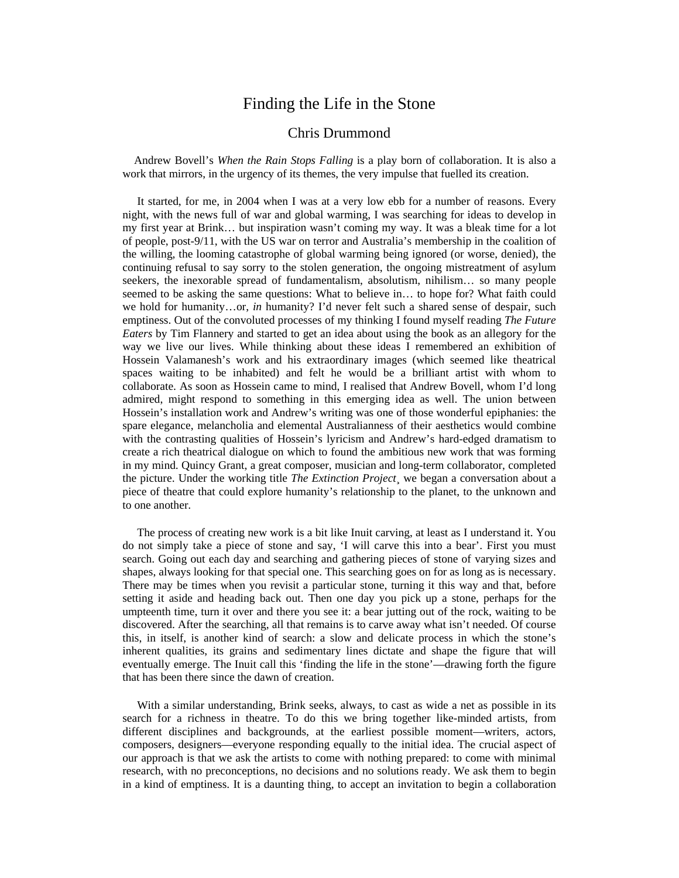## Finding the Life in the Stone

## Chris Drummond

 Andrew Bovell's *When the Rain Stops Falling* is a play born of collaboration. It is also a work that mirrors, in the urgency of its themes, the very impulse that fuelled its creation.

It started, for me, in 2004 when I was at a very low ebb for a number of reasons. Every night, with the news full of war and global warming, I was searching for ideas to develop in my first year at Brink… but inspiration wasn't coming my way. It was a bleak time for a lot of people, post-9/11, with the US war on terror and Australia's membership in the coalition of the willing, the looming catastrophe of global warming being ignored (or worse, denied), the continuing refusal to say sorry to the stolen generation, the ongoing mistreatment of asylum seekers, the inexorable spread of fundamentalism, absolutism, nihilism… so many people seemed to be asking the same questions: What to believe in… to hope for? What faith could we hold for humanity…or, *in* humanity? I'd never felt such a shared sense of despair, such emptiness. Out of the convoluted processes of my thinking I found myself reading *The Future Eaters* by Tim Flannery and started to get an idea about using the book as an allegory for the way we live our lives. While thinking about these ideas I remembered an exhibition of Hossein Valamanesh's work and his extraordinary images (which seemed like theatrical spaces waiting to be inhabited) and felt he would be a brilliant artist with whom to collaborate. As soon as Hossein came to mind, I realised that Andrew Bovell, whom I'd long admired, might respond to something in this emerging idea as well. The union between Hossein's installation work and Andrew's writing was one of those wonderful epiphanies: the spare elegance, melancholia and elemental Australianness of their aesthetics would combine with the contrasting qualities of Hossein's lyricism and Andrew's hard-edged dramatism to create a rich theatrical dialogue on which to found the ambitious new work that was forming in my mind. Quincy Grant, a great composer, musician and long-term collaborator, completed the picture. Under the working title *The Extinction Project*¸ we began a conversation about a piece of theatre that could explore humanity's relationship to the planet, to the unknown and to one another.

The process of creating new work is a bit like Inuit carving, at least as I understand it. You do not simply take a piece of stone and say, 'I will carve this into a bear'. First you must search. Going out each day and searching and gathering pieces of stone of varying sizes and shapes, always looking for that special one. This searching goes on for as long as is necessary. There may be times when you revisit a particular stone, turning it this way and that, before setting it aside and heading back out. Then one day you pick up a stone, perhaps for the umpteenth time, turn it over and there you see it: a bear jutting out of the rock, waiting to be discovered. After the searching, all that remains is to carve away what isn't needed. Of course this, in itself, is another kind of search: a slow and delicate process in which the stone's inherent qualities, its grains and sedimentary lines dictate and shape the figure that will eventually emerge. The Inuit call this 'finding the life in the stone'—drawing forth the figure that has been there since the dawn of creation.

With a similar understanding, Brink seeks, always, to cast as wide a net as possible in its search for a richness in theatre. To do this we bring together like-minded artists, from different disciplines and backgrounds, at the earliest possible moment—writers, actors, composers, designers—everyone responding equally to the initial idea. The crucial aspect of our approach is that we ask the artists to come with nothing prepared: to come with minimal research, with no preconceptions, no decisions and no solutions ready. We ask them to begin in a kind of emptiness. It is a daunting thing, to accept an invitation to begin a collaboration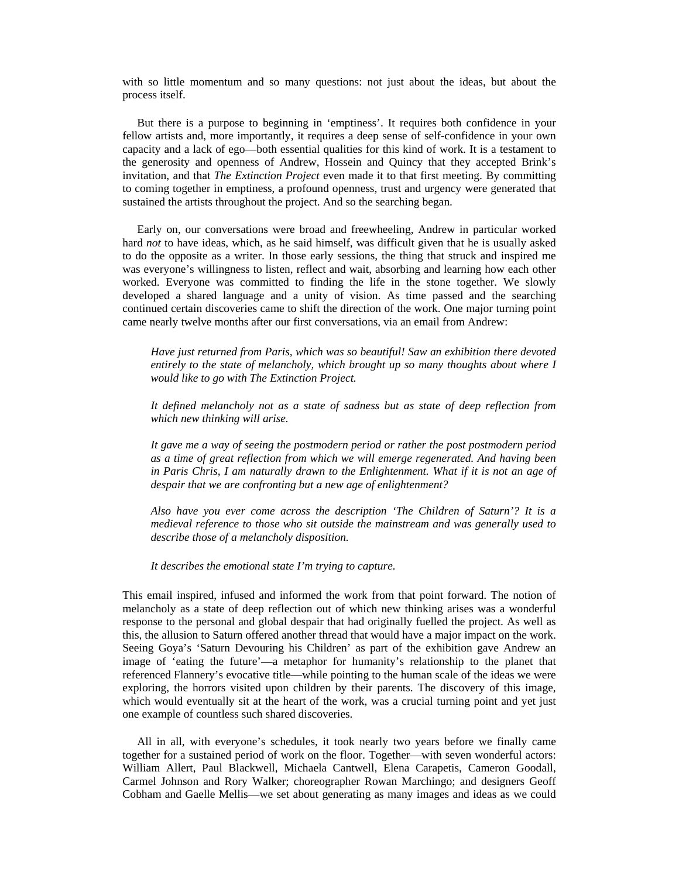with so little momentum and so many questions: not just about the ideas, but about the process itself.

But there is a purpose to beginning in 'emptiness'. It requires both confidence in your fellow artists and, more importantly, it requires a deep sense of self-confidence in your own capacity and a lack of ego—both essential qualities for this kind of work. It is a testament to the generosity and openness of Andrew, Hossein and Quincy that they accepted Brink's invitation, and that *The Extinction Project* even made it to that first meeting. By committing to coming together in emptiness, a profound openness, trust and urgency were generated that sustained the artists throughout the project. And so the searching began.

Early on, our conversations were broad and freewheeling, Andrew in particular worked hard *not* to have ideas, which, as he said himself, was difficult given that he is usually asked to do the opposite as a writer. In those early sessions, the thing that struck and inspired me was everyone's willingness to listen, reflect and wait, absorbing and learning how each other worked. Everyone was committed to finding the life in the stone together. We slowly developed a shared language and a unity of vision. As time passed and the searching continued certain discoveries came to shift the direction of the work. One major turning point came nearly twelve months after our first conversations, via an email from Andrew:

*Have just returned from Paris, which was so beautiful! Saw an exhibition there devoted entirely to the state of melancholy, which brought up so many thoughts about where I would like to go with The Extinction Project.* 

*It defined melancholy not as a state of sadness but as state of deep reflection from which new thinking will arise.* 

*It gave me a way of seeing the postmodern period or rather the post postmodern period as a time of great reflection from which we will emerge regenerated. And having been in Paris Chris, I am naturally drawn to the Enlightenment. What if it is not an age of despair that we are confronting but a new age of enlightenment?* 

*Also have you ever come across the description 'The Children of Saturn'? It is a medieval reference to those who sit outside the mainstream and was generally used to describe those of a melancholy disposition.* 

*It describes the emotional state I'm trying to capture.*

This email inspired, infused and informed the work from that point forward. The notion of melancholy as a state of deep reflection out of which new thinking arises was a wonderful response to the personal and global despair that had originally fuelled the project. As well as this, the allusion to Saturn offered another thread that would have a major impact on the work. Seeing Goya's 'Saturn Devouring his Children' as part of the exhibition gave Andrew an image of 'eating the future'—a metaphor for humanity's relationship to the planet that referenced Flannery's evocative title—while pointing to the human scale of the ideas we were exploring, the horrors visited upon children by their parents. The discovery of this image, which would eventually sit at the heart of the work, was a crucial turning point and yet just one example of countless such shared discoveries.

All in all, with everyone's schedules, it took nearly two years before we finally came together for a sustained period of work on the floor. Together—with seven wonderful actors: William Allert, Paul Blackwell, Michaela Cantwell, Elena Carapetis, Cameron Goodall, Carmel Johnson and Rory Walker; choreographer Rowan Marchingo; and designers Geoff Cobham and Gaelle Mellis—we set about generating as many images and ideas as we could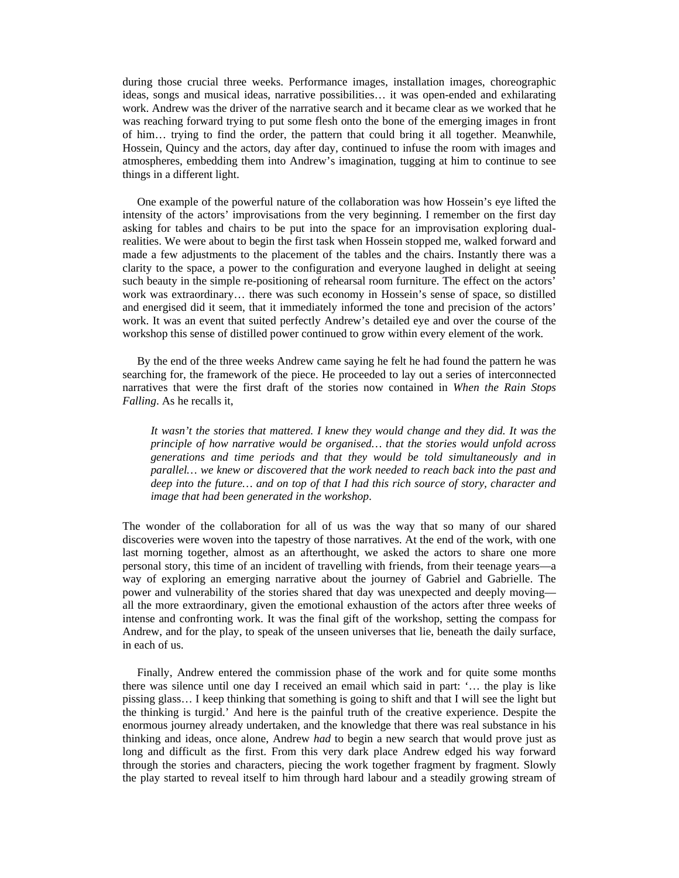during those crucial three weeks. Performance images, installation images, choreographic ideas, songs and musical ideas, narrative possibilities… it was open-ended and exhilarating work. Andrew was the driver of the narrative search and it became clear as we worked that he was reaching forward trying to put some flesh onto the bone of the emerging images in front of him… trying to find the order, the pattern that could bring it all together. Meanwhile, Hossein, Quincy and the actors, day after day, continued to infuse the room with images and atmospheres, embedding them into Andrew's imagination, tugging at him to continue to see things in a different light.

One example of the powerful nature of the collaboration was how Hossein's eye lifted the intensity of the actors' improvisations from the very beginning. I remember on the first day asking for tables and chairs to be put into the space for an improvisation exploring dualrealities. We were about to begin the first task when Hossein stopped me, walked forward and made a few adjustments to the placement of the tables and the chairs. Instantly there was a clarity to the space, a power to the configuration and everyone laughed in delight at seeing such beauty in the simple re-positioning of rehearsal room furniture. The effect on the actors' work was extraordinary… there was such economy in Hossein's sense of space, so distilled and energised did it seem, that it immediately informed the tone and precision of the actors' work. It was an event that suited perfectly Andrew's detailed eye and over the course of the workshop this sense of distilled power continued to grow within every element of the work.

By the end of the three weeks Andrew came saying he felt he had found the pattern he was searching for, the framework of the piece. He proceeded to lay out a series of interconnected narratives that were the first draft of the stories now contained in *When the Rain Stops Falling*. As he recalls it,

*It wasn't the stories that mattered. I knew they would change and they did. It was the principle of how narrative would be organised… that the stories would unfold across generations and time periods and that they would be told simultaneously and in parallel… we knew or discovered that the work needed to reach back into the past and deep into the future… and on top of that I had this rich source of story, character and image that had been generated in the workshop*.

The wonder of the collaboration for all of us was the way that so many of our shared discoveries were woven into the tapestry of those narratives. At the end of the work, with one last morning together, almost as an afterthought, we asked the actors to share one more personal story, this time of an incident of travelling with friends, from their teenage years—a way of exploring an emerging narrative about the journey of Gabriel and Gabrielle. The power and vulnerability of the stories shared that day was unexpected and deeply moving all the more extraordinary, given the emotional exhaustion of the actors after three weeks of intense and confronting work. It was the final gift of the workshop, setting the compass for Andrew, and for the play, to speak of the unseen universes that lie, beneath the daily surface, in each of us.

Finally, Andrew entered the commission phase of the work and for quite some months there was silence until one day I received an email which said in part: '… the play is like pissing glass… I keep thinking that something is going to shift and that I will see the light but the thinking is turgid.' And here is the painful truth of the creative experience. Despite the enormous journey already undertaken, and the knowledge that there was real substance in his thinking and ideas, once alone, Andrew *had* to begin a new search that would prove just as long and difficult as the first. From this very dark place Andrew edged his way forward through the stories and characters, piecing the work together fragment by fragment. Slowly the play started to reveal itself to him through hard labour and a steadily growing stream of